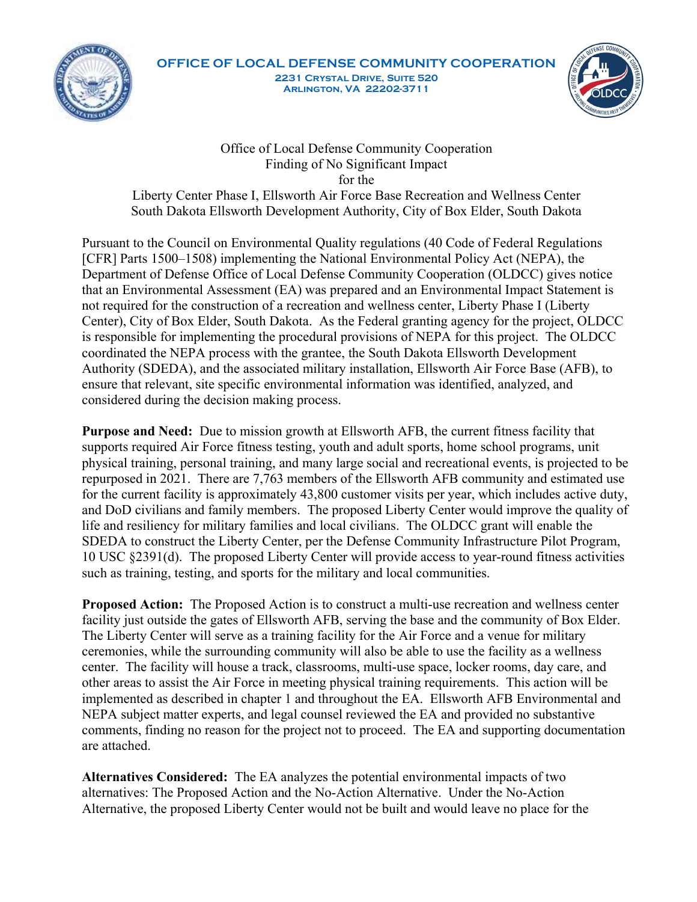

## OFFICE OF LOCAL DEFENSE COMMUNITY COOPERATION 2231 Crystal Drive, Suite 520 Arlington, VA 22202-3711



Office of Local Defense Community Cooperation Finding of No Significant Impact for the

Liberty Center Phase I, Ellsworth Air Force Base Recreation and Wellness Center South Dakota Ellsworth Development Authority, City of Box Elder, South Dakota

Pursuant to the Council on Environmental Quality regulations (40 Code of Federal Regulations [CFR] Parts 1500–1508) implementing the National Environmental Policy Act (NEPA), the Department of Defense Office of Local Defense Community Cooperation (OLDCC) gives notice that an Environmental Assessment (EA) was prepared and an Environmental Impact Statement is not required for the construction of a recreation and wellness center, Liberty Phase I (Liberty Center), City of Box Elder, South Dakota. As the Federal granting agency for the project, OLDCC is responsible for implementing the procedural provisions of NEPA for this project. The OLDCC coordinated the NEPA process with the grantee, the South Dakota Ellsworth Development Authority (SDEDA), and the associated military installation, Ellsworth Air Force Base (AFB), to ensure that relevant, site specific environmental information was identified, analyzed, and considered during the decision making process.

Purpose and Need: Due to mission growth at Ellsworth AFB, the current fitness facility that supports required Air Force fitness testing, youth and adult sports, home school programs, unit physical training, personal training, and many large social and recreational events, is projected to be repurposed in 2021. There are 7,763 members of the Ellsworth AFB community and estimated use for the current facility is approximately 43,800 customer visits per year, which includes active duty, and DoD civilians and family members. The proposed Liberty Center would improve the quality of life and resiliency for military families and local civilians. The OLDCC grant will enable the SDEDA to construct the Liberty Center, per the Defense Community Infrastructure Pilot Program, 10 USC §2391(d). The proposed Liberty Center will provide access to year-round fitness activities such as training, testing, and sports for the military and local communities. Extending to the facility of the facility of the Air Force and a venue for military of the Night-RB, the space and Need . Due to mission making process.<br> **Purpose and Need:** Due to mission growth at Ellsworth AFB, the curr

Proposed Action: The Proposed Action is to construct a multi-use recreation and wellness center facility just outside the gates of Ellsworth AFB, serving the base and the community of Box Elder. The Liberty Center will serve as a training facility for the Air Force and a venue for military ceremonies, while the surrounding community will also be able to use the facility as a wellness other areas to assist the Air Force in meeting physical training requirements. This action will be implemented as described in chapter 1 and throughout the EA. Ellsworth AFB Environmental and NEPA subject matter experts, and legal counsel reviewed the EA and provided no substantive comments, finding no reason for the project not to proceed. The EA and supporting documentation are attached. as the constructuon, the stap and state of the No-Action Alternatives: The Proposed Liberty Center would improve the quality of life and resiliency for military minises and load civilians. The OLDCC grant will enable the S The particular and the Liberty Center, per the Defense Community inffastment of the proposed Liberty Center will enable the UDCC grant will enable the UDCC scalify that interpret center be Defense Community infrastructure

Alternatives Considered: The EA analyzes the potential environmental impacts of two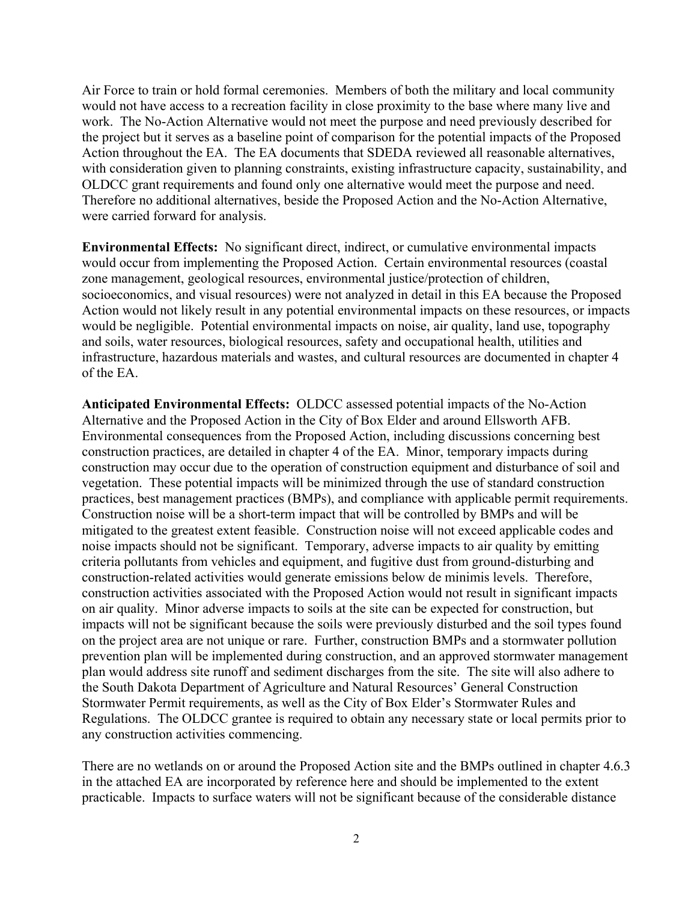Air Force to train or hold formal ceremonies. Members of both the military and local community would not have access to a recreation facility in close proximity to the base where many live and work. The No-Action Alternative would not meet the purpose and need previously described for the project but it serves as a baseline point of comparison for the potential impacts of the Proposed Action throughout the EA. The EA documents that SDEDA reviewed all reasonable alternatives, with consideration given to planning constraints, existing infrastructure capacity, sustainability, and OLDCC grant requirements and found only one alternative would meet the purpose and need. Therefore no additional alternatives, beside the Proposed Action and the No-Action Alternative, were carried forward for analysis.

Environmental Effects: No significant direct, indirect, or cumulative environmental impacts would occur from implementing the Proposed Action. Certain environmental resources (coastal zone management, geological resources, environmental justice/protection of children, socioeconomics, and visual resources) were not analyzed in detail in this EA because the Proposed Action would not likely result in any potential environmental impacts on these resources, or impacts would be negligible. Potential environmental impacts on noise, air quality, land use, topography and soils, water resources, biological resources, safety and occupational health, utilities and infrastructure, hazardous materials and wastes, and cultural resources are documented in chapter 4 of the EA.

Anticipated Environmental Effects: OLDCC assessed potential impacts of the No-Action Alternative and the Proposed Action in the City of Box Elder and around Ellsworth AFB. Environmental consequences from the Proposed Action, including discussions concerning best construction practices, are detailed in chapter 4 of the EA. Minor, temporary impacts during construction may occur due to the operation of construction equipment and disturbance of soil and vegetation. These potential impacts will be minimized through the use of standard construction practices, best management practices (BMPs), and compliance with applicable permit requirements. Construction noise will be a short-term impact that will be controlled by BMPs and will be mitigated to the greatest extent feasible. Construction noise will not exceed applicable codes and noise impacts should not be significant. Temporary, adverse impacts to air quality by emitting criteria pollutants from vehicles and equipment, and fugitive dust from ground-disturbing and construction-related activities would generate emissions below de minimis levels. Therefore, construction activities associated with the Proposed Action would not result in significant impacts on air quality. Minor adverse impacts to soils at the site can be expected for construction, but impacts will not be significant because the soils were previously disturbed and the soil types found on the project area are not unique or rare. Further, construction BMPs and a stormwater pollution prevention plan will be implemented during construction, and an approved stormwater management plan would address site runoff and sediment discharges from the site. The site will also adhere to the South Dakota Department of Agriculture and Natural Resources' General Construction Stormwater Permit requirements, as well as the City of Box Elder's Stormwater Rules and Regulations. The OLDCC grantee is required to obtain any necessary state or local permits prior to any construction activities commencing.

There are no wetlands on or around the Proposed Action site and the BMPs outlined in chapter 4.6.3 in the attached EA are incorporated by reference here and should be implemented to the extent practicable. Impacts to surface waters will not be significant because of the considerable distance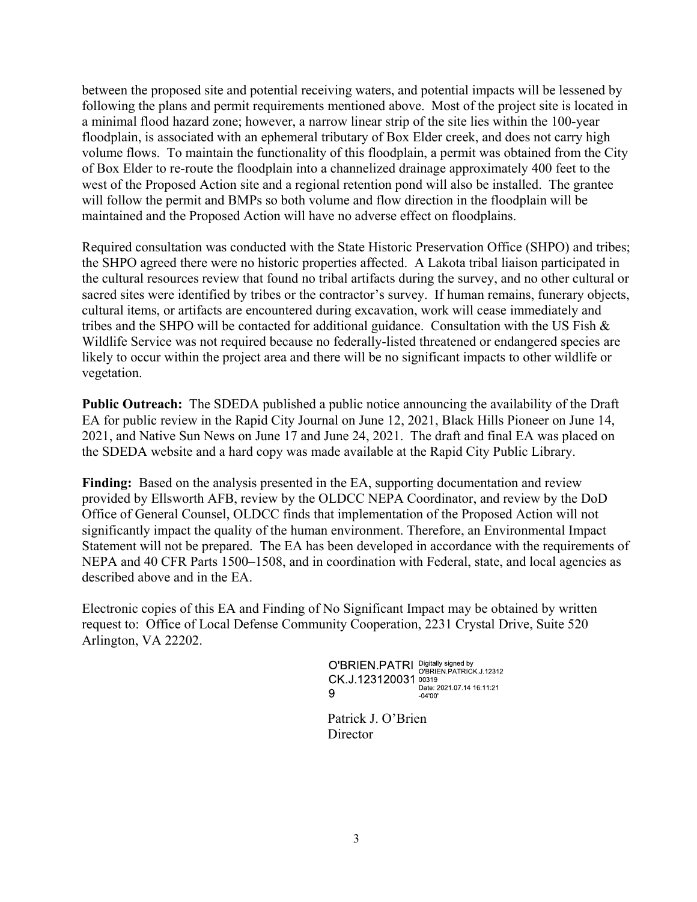between the proposed site and potential receiving waters, and potential impacts will be lessened by following the plans and permit requirements mentioned above. Most of the project site is located in between the proposed site and potential receiving waters, and potential impacts will be lessened by following the plans and permit requirements mentioned above. Most of the project site is located in a minimal flood hazard floodplain, is associated with an ephemeral tributary of Box Elder creek, and does not carry high volume flows. To maintain the functionality of this floodplain, a permit was obtained from the City of Box Elder to re-route the floodplain into a channelized drainage approximately 400 feet to the west of the Proposed Action site and a regional retention pond will also be installed. The grantee will follow the permit and BMPs so both volume and flow direction in the floodplain will be maintained and the Proposed Action will have no adverse effect on floodplains.

Required consultation was conducted with the State Historic Preservation Office (SHPO) and tribes; the SHPO agreed there were no historic properties affected. A Lakota tribal liaison participated in the cultural resources review that found no tribal artifacts during the survey, and no other cultural or sacred sites were identified by tribes or the contractor's survey. If human remains, funerary objects, cultural items, or artifacts are encountered during excavation, work will cease immediately and tribes and the SHPO will be contacted for additional guidance. Consultation with the US Fish  $\&$ Wildlife Service was not required because no federally-listed threatened or endangered species are likely to occur within the project area and there will be no significant impacts to other wildlife or vegetation.

Public Outreach: The SDEDA published a public notice announcing the availability of the Draft EA for public review in the Rapid City Journal on June 12, 2021, Black Hills Pioneer on June 14, 2021, and Native Sun News on June 17 and June 24, 2021. The draft and final EA was placed on the SDEDA website and a hard copy was made available at the Rapid City Public Library.

Finding: Based on the analysis presented in the EA, supporting documentation and review provided by Ellsworth AFB, review by the OLDCC NEPA Coordinator, and review by the DoD Office of General Counsel, OLDCC finds that implementation of the Proposed Action will not significantly impact the quality of the human environment. Therefore, an Environmental Impact Statement will not be prepared. The EA has been developed in accordance with the requirements of NEPA and 40 CFR Parts 1500–1508, and in coordination with Federal, state, and local agencies as described above and in the EA.

Electronic copies of this EA and Finding of No Significant Impact may be obtained by written request to: Office of Local Defense Community Cooperation, 2231 Crystal Drive, Suite 520 Arlington, VA 22202.

> O'BRIEN.PATRI Digitally signed by<br>CK.J.123120031 00319<br>CK.J.123120031 00319<br>C 9  $-04'00'$

 Patrick J. O'Brien **Director**